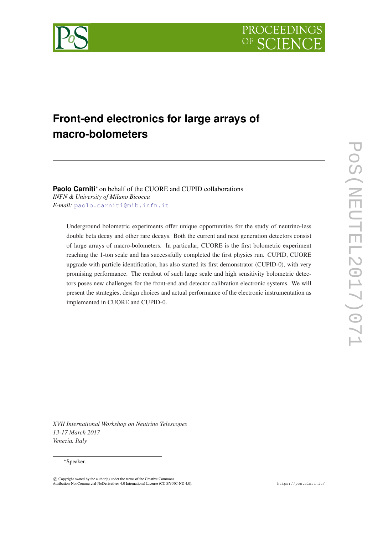



# **Front-end electronics for large arrays of macro-bolometers**

**Paolo Carniti**<sup>∗</sup> on behalf of the CUORE and CUPID collaborations *INFN & University of Milano Bicocca E-mail:* [paolo.carniti@mib.infn.it](mailto:paolo.carniti@mib.infn.it)

Underground bolometric experiments offer unique opportunities for the study of neutrino-less double beta decay and other rare decays. Both the current and next generation detectors consist of large arrays of macro-bolometers. In particular, CUORE is the first bolometric experiment reaching the 1-ton scale and has successfully completed the first physics run. CUPID, CUORE upgrade with particle identification, has also started its first demonstrator (CUPID-0), with very promising performance. The readout of such large scale and high sensitivity bolometric detectors poses new challenges for the front-end and detector calibration electronic systems. We will present the strategies, design choices and actual performance of the electronic instrumentation as implemented in CUORE and CUPID-0.

*XVII International Workshop on Neutrino Telescopes 13-17 March 2017 Venezia, Italy*

#### <sup>∗</sup>Speaker.

 $\overline{c}$  Copyright owned by the author(s) under the terms of the Creative Common Attribution-NonCommercial-NoDerivatives 4.0 International License (CC BY-NC-ND 4.0). https://pos.sissa.it/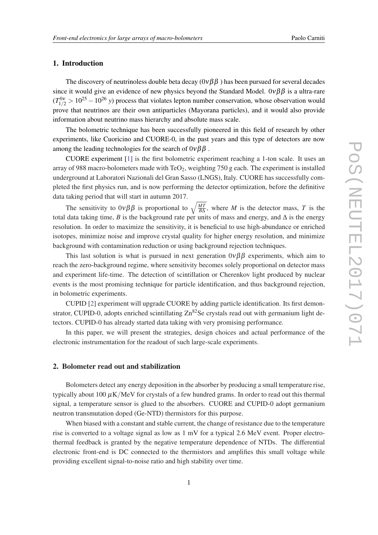# 1. Introduction

The discovery of neutrinoless double beta decay  $(0\nu\beta\beta)$  has been pursued for several decades since it would give an evidence of new physics beyond the Standard Model.  $0\nu\beta\beta$  is a ultra-rare  $(T_{1/2}^{0\nu} > 10^{25} - 10^{26} \text{ y})$  process that violates lepton number conservation, whose observation would prove that neutrinos are their own antiparticles (Mayorana particles), and it would also provide information about neutrino mass hierarchy and absolute mass scale.

The bolometric technique has been successfully pioneered in this field of research by other experiments, like Cuoricino and CUORE-0, in the past years and this type of detectors are now among the leading technologies for the search of  $0\nu\beta\beta$ .

CUORE experiment [\[1\]](#page-4-0) is the first bolometric experiment reaching a 1-ton scale. It uses an array of 988 macro-bolometers made with  $TeO<sub>2</sub>$ , weighting 750 g each. The experiment is installed underground at Laboratori Nazionali del Gran Sasso (LNGS), Italy. CUORE has successfully completed the first physics run, and is now performing the detector optimization, before the definitive data taking period that will start in autumn 2017.

The sensitivity to  $0\nu\beta\beta$  is proportional to  $\sqrt{\frac{MT}{B\Delta}}$  $\frac{MT}{BA}$ , where *M* is the detector mass, *T* is the total data taking time, *B* is the background rate per units of mass and energy, and  $\Delta$  is the energy resolution. In order to maximize the sensitivity, it is beneficial to use high-abundance or enriched isotopes, minimize noise and improve crystal quality for higher energy resolution, and minimize background with contamination reduction or using background rejection techniques.

This last solution is what is pursued in next generation  $0\nu\beta\beta$  experiments, which aim to reach the zero-background regime, where sensitivity becomes solely proportional on detector mass and experiment life-time. The detection of scintillation or Cherenkov light produced by nuclear events is the most promising technique for particle identification, and thus background rejection, in bolometric experiments.

CUPID [\[2\]](#page-4-0) experiment will upgrade CUORE by adding particle identification. Its first demonstrator, CUPID-0, adopts enriched scintillating  $\text{Zn}^{\text{82}}$ Se crystals read out with germanium light detectors. CUPID-0 has already started data taking with very promising performance.

In this paper, we will present the strategies, design choices and actual performance of the electronic instrumentation for the readout of such large-scale experiments.

#### 2. Bolometer read out and stabilization

Bolometers detect any energy deposition in the absorber by producing a small temperature rise, typically about  $100 \mu K/MeV$  for crystals of a few hundred grams. In order to read out this thermal signal, a temperature sensor is glued to the absorbers. CUORE and CUPID-0 adopt germanium neutron transmutation doped (Ge-NTD) thermistors for this purpose.

When biased with a constant and stable current, the change of resistance due to the temperature rise is converted to a voltage signal as low as 1 mV for a typical 2.6 MeV event. Proper electrothermal feedback is granted by the negative temperature dependence of NTDs. The differential electronic front-end is DC connected to the thermistors and amplifies this small voltage while providing excellent signal-to-noise ratio and high stability over time.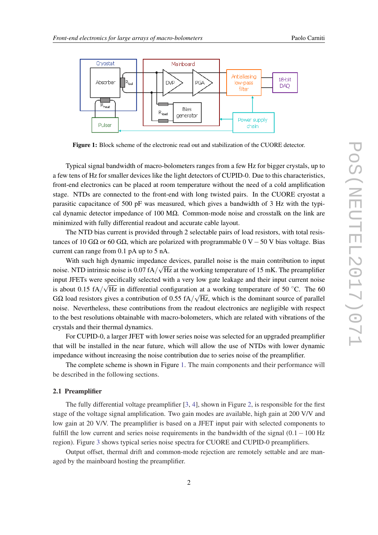

Figure 1: Block scheme of the electronic read out and stabilization of the CUORE detector.

Typical signal bandwidth of macro-bolometers ranges from a few Hz for bigger crystals, up to a few tens of Hz for smaller devices like the light detectors of CUPID-0. Due to this characteristics, front-end electronics can be placed at room temperature without the need of a cold amplification stage. NTDs are connected to the front-end with long twisted pairs. In the CUORE cryostat a parasitic capacitance of 500 pF was measured, which gives a bandwidth of 3 Hz with the typical dynamic detector impedance of 100 M $\Omega$ . Common-mode noise and crosstalk on the link are minimized with fully differential readout and accurate cable layout.

The NTD bias current is provided through 2 selectable pairs of load resistors, with total resistances of 10 GΩ or 60 GΩ, which are polarized with programmable  $0$  V  $-50$  V bias voltage. Bias current can range from 0.1 pA up to 5 nA.

With such high dynamic impedance devices, parallel noise is the main contribution to input noise. NTD intrinsic noise is 0.07 fA/ $\sqrt{Hz}$  at the working temperature of 15 mK. The preamplifier input JFETs were specifically selected with a very low gate leakage and their input current noise is about 0.15 fA/ $\sqrt{Hz}$  in differential configuration at a working temperature of 50 °C. The 60 G $\Omega$  load resistors gives a contribution of 0.55 fA/ $\sqrt{Hz}$ , which is the dominant source of parallel noise. Nevertheless, these contributions from the readout electronics are negligible with respect to the best resolutions obtainable with macro-bolometers, which are related with vibrations of the crystals and their thermal dynamics.

For CUPID-0, a larger JFET with lower series noise was selected for an upgraded preamplifier that will be installed in the near future, which will allow the use of NTDs with lower dynamic impedance without increasing the noise contribution due to series noise of the preamplifier.

The complete scheme is shown in Figure 1. The main components and their performance will be described in the following sections.

#### 2.1 Preamplifier

The fully differential voltage preamplifier [[3](#page-4-0), [4](#page-4-0)], shown in Figure [2,](#page-3-0) is responsible for the first stage of the voltage signal amplification. Two gain modes are available, high gain at 200 V/V and low gain at 20 V/V. The preamplifier is based on a JFET input pair with selected components to fulfill the low current and series noise requirements in the bandwidth of the signal  $(0.1-100 \text{ Hz})$ region). Figure [3](#page-3-0) shows typical series noise spectra for CUORE and CUPID-0 preamplifiers.

Output offset, thermal drift and common-mode rejection are remotely settable and are managed by the mainboard hosting the preamplifier.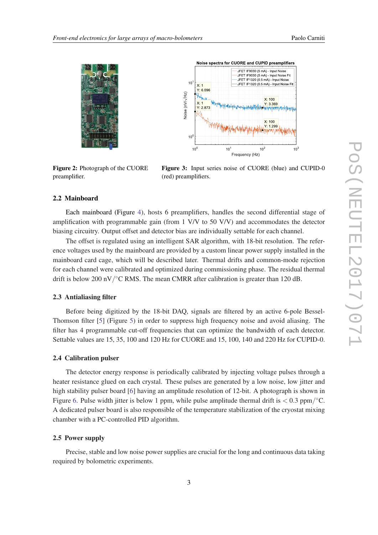<span id="page-3-0"></span>



Figure 2: Photograph of the CUORE preamplifier.

Figure 3: Input series noise of CUORE (blue) and CUPID-0 (red) preamplifiers.

#### 2.2 Mainboard

Each mainboard (Figure [4](#page-4-0)), hosts 6 preamplifiers, handles the second differential stage of amplification with programmable gain (from 1 V/V to 50 V/V) and accommodates the detector biasing circuitry. Output offset and detector bias are individually settable for each channel.

The offset is regulated using an intelligent SAR algorithm, with 18-bit resolution. The reference voltages used by the mainboard are provided by a custom linear power supply installed in the mainboard card cage, which will be described later. Thermal drifts and common-mode rejection for each channel were calibrated and optimized during commissioning phase. The residual thermal drift is below 200 nV/ $\degree$ C RMS. The mean CMRR after calibration is greater than 120 dB.

#### 2.3 Antialiasing filter

Before being digitized by the 18-bit DAQ, signals are filtered by an active 6-pole Bessel-Thomson filter [[5](#page-4-0)] (Figure [5\)](#page-4-0) in order to suppress high frequency noise and avoid aliasing. The filter has 4 programmable cut-off frequencies that can optimize the bandwidth of each detector. Settable values are 15, 35, 100 and 120 Hz for CUORE and 15, 100, 140 and 220 Hz for CUPID-0.

#### 2.4 Calibration pulser

The detector energy response is periodically calibrated by injecting voltage pulses through a heater resistance glued on each crystal. These pulses are generated by a low noise, low jitter and high stability pulser board [\[6\]](#page-4-0) having an amplitude resolution of 12-bit. A photograph is shown in Figure [6](#page-4-0). Pulse width jitter is below 1 ppm, while pulse amplitude thermal drift is  $< 0.3$  ppm/ $\rm ^{\circ}C$ . A dedicated pulser board is also responsible of the temperature stabilization of the cryostat mixing chamber with a PC-controlled PID algorithm.

### 2.5 Power supply

Precise, stable and low noise power supplies are crucial for the long and continuous data taking required by bolometric experiments.